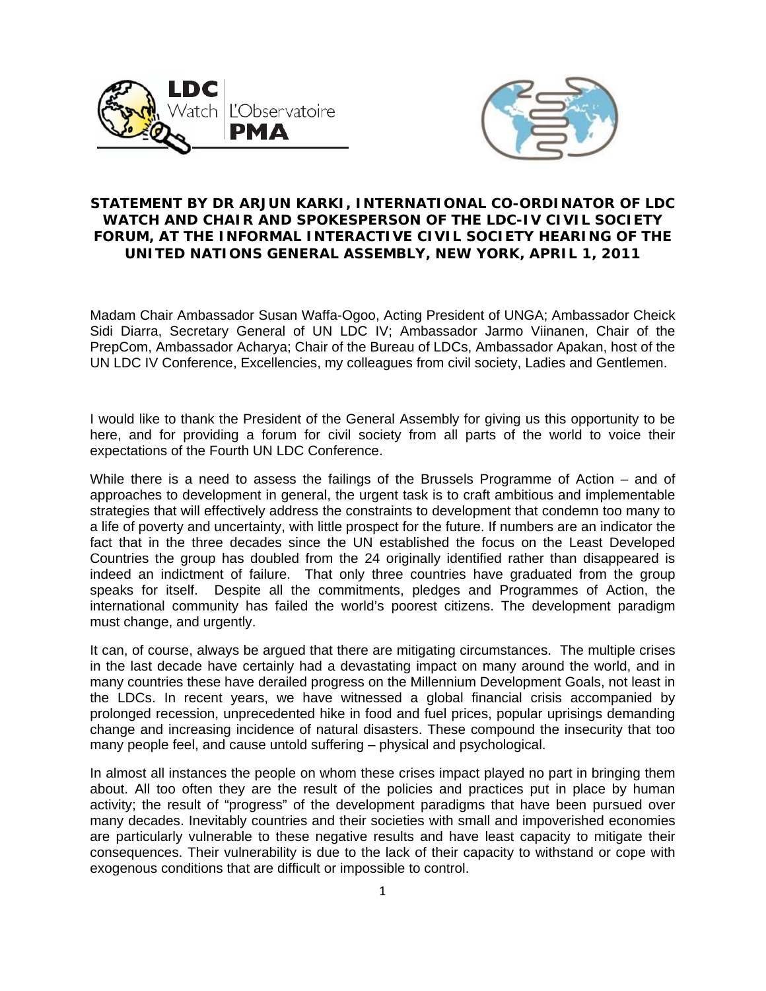



## **STATEMENT BY DR ARJUN KARKI, INTERNATIONAL CO-ORDINATOR OF LDC WATCH AND CHAIR AND SPOKESPERSON OF THE LDC-IV CIVIL SOCIETY FORUM, AT THE INFORMAL INTERACTIVE CIVIL SOCIETY HEARING OF THE UNITED NATIONS GENERAL ASSEMBLY, NEW YORK, APRIL 1, 2011**

Madam Chair Ambassador Susan Waffa-Ogoo, Acting President of UNGA; Ambassador Cheick Sidi Diarra, Secretary General of UN LDC IV; Ambassador Jarmo Viinanen, Chair of the PrepCom, Ambassador Acharya; Chair of the Bureau of LDCs, Ambassador Apakan, host of the UN LDC IV Conference, Excellencies, my colleagues from civil society, Ladies and Gentlemen.

I would like to thank the President of the General Assembly for giving us this opportunity to be here, and for providing a forum for civil society from all parts of the world to voice their expectations of the Fourth UN LDC Conference.

While there is a need to assess the failings of the Brussels Programme of Action – and of approaches to development in general, the urgent task is to craft ambitious and implementable strategies that will effectively address the constraints to development that condemn too many to a life of poverty and uncertainty, with little prospect for the future. If numbers are an indicator the fact that in the three decades since the UN established the focus on the Least Developed Countries the group has doubled from the 24 originally identified rather than disappeared is indeed an indictment of failure. That only three countries have graduated from the group speaks for itself. Despite all the commitments, pledges and Programmes of Action, the international community has failed the world's poorest citizens. The development paradigm must change, and urgently.

It can, of course, always be argued that there are mitigating circumstances. The multiple crises in the last decade have certainly had a devastating impact on many around the world, and in many countries these have derailed progress on the Millennium Development Goals, not least in the LDCs. In recent years, we have witnessed a global financial crisis accompanied by prolonged recession, unprecedented hike in food and fuel prices, popular uprisings demanding change and increasing incidence of natural disasters. These compound the insecurity that too many people feel, and cause untold suffering – physical and psychological.

In almost all instances the people on whom these crises impact played no part in bringing them about. All too often they are the result of the policies and practices put in place by human activity; the result of "progress" of the development paradigms that have been pursued over many decades. Inevitably countries and their societies with small and impoverished economies are particularly vulnerable to these negative results and have least capacity to mitigate their consequences. Their vulnerability is due to the lack of their capacity to withstand or cope with exogenous conditions that are difficult or impossible to control.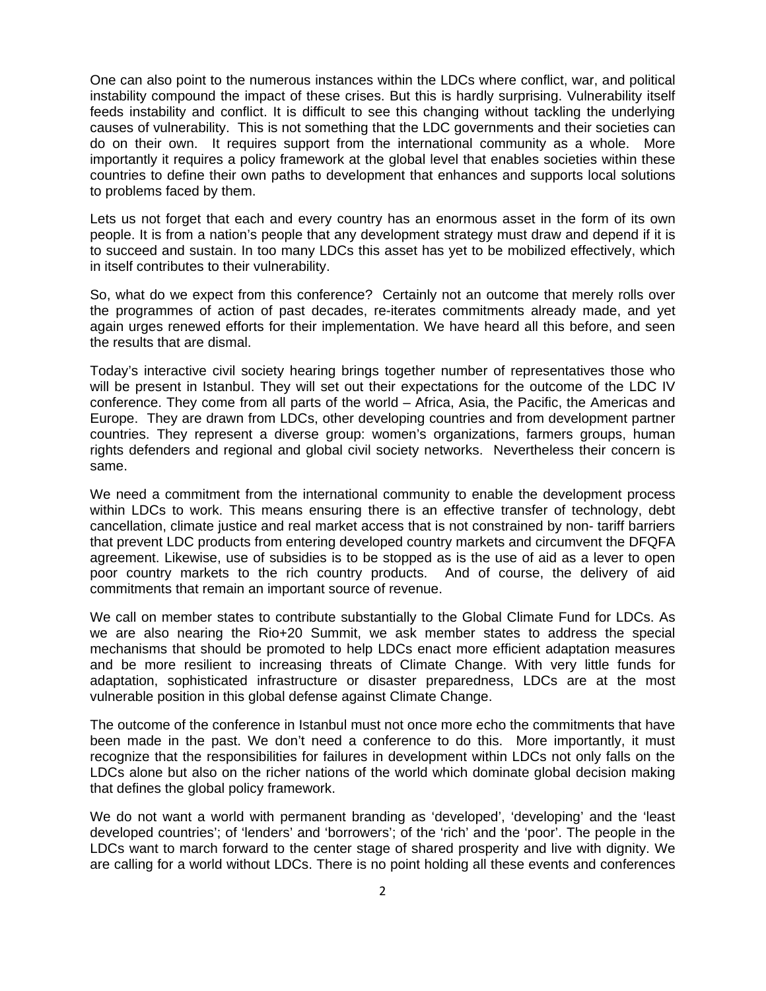One can also point to the numerous instances within the LDCs where conflict, war, and political instability compound the impact of these crises. But this is hardly surprising. Vulnerability itself feeds instability and conflict. It is difficult to see this changing without tackling the underlying causes of vulnerability. This is not something that the LDC governments and their societies can do on their own. It requires support from the international community as a whole. More importantly it requires a policy framework at the global level that enables societies within these countries to define their own paths to development that enhances and supports local solutions to problems faced by them.

Lets us not forget that each and every country has an enormous asset in the form of its own people. It is from a nation's people that any development strategy must draw and depend if it is to succeed and sustain. In too many LDCs this asset has yet to be mobilized effectively, which in itself contributes to their vulnerability.

So, what do we expect from this conference? Certainly not an outcome that merely rolls over the programmes of action of past decades, re-iterates commitments already made, and yet again urges renewed efforts for their implementation. We have heard all this before, and seen the results that are dismal.

Today's interactive civil society hearing brings together number of representatives those who will be present in Istanbul. They will set out their expectations for the outcome of the LDC IV conference. They come from all parts of the world – Africa, Asia, the Pacific, the Americas and Europe. They are drawn from LDCs, other developing countries and from development partner countries. They represent a diverse group: women's organizations, farmers groups, human rights defenders and regional and global civil society networks. Nevertheless their concern is same.

We need a commitment from the international community to enable the development process within LDCs to work. This means ensuring there is an effective transfer of technology, debt cancellation, climate justice and real market access that is not constrained by non- tariff barriers that prevent LDC products from entering developed country markets and circumvent the DFQFA agreement. Likewise, use of subsidies is to be stopped as is the use of aid as a lever to open poor country markets to the rich country products. And of course, the delivery of aid commitments that remain an important source of revenue.

We call on member states to contribute substantially to the Global Climate Fund for LDCs. As we are also nearing the Rio+20 Summit, we ask member states to address the special mechanisms that should be promoted to help LDCs enact more efficient adaptation measures and be more resilient to increasing threats of Climate Change. With very little funds for adaptation, sophisticated infrastructure or disaster preparedness, LDCs are at the most vulnerable position in this global defense against Climate Change.

The outcome of the conference in Istanbul must not once more echo the commitments that have been made in the past. We don't need a conference to do this. More importantly, it must recognize that the responsibilities for failures in development within LDCs not only falls on the LDCs alone but also on the richer nations of the world which dominate global decision making that defines the global policy framework.

We do not want a world with permanent branding as 'developed', 'developing' and the 'least developed countries'; of 'lenders' and 'borrowers'; of the 'rich' and the 'poor'. The people in the LDCs want to march forward to the center stage of shared prosperity and live with dignity. We are calling for a world without LDCs. There is no point holding all these events and conferences